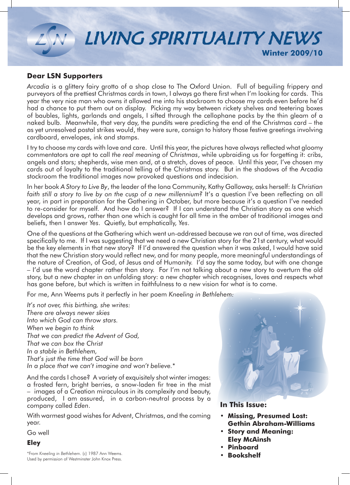

### **Dear LSN Supporters**

*Arcadia* is a glittery fairy grotto of a shop close to The Oxford Union. Full of beguiling frippery and purveyors of the prettiest Christmas cards in town, I always go there first when I'm looking for cards. This year the very nice man who owns it allowed me into his stockroom to choose my cards even before he'd had a chance to put them out on display. Picking my way between rickety shelves and teetering boxes of baubles, lights, garlands and angels, I sifted through the cellophane packs by the thin gleam of a naked bulb. Meanwhile, that very day, the pundits were predicting the end of the Christmas card – the as yet unresolved postal strikes would, they were sure, consign to history those festive greetings involving cardboard, envelopes, ink and stamps.

I try to choose my cards with love and care. Until this year, the pictures have always reflected what gloomy commentators are apt to call *the real meaning of Christmas*, while upbraiding us for forgetting it: cribs, angels and stars; shepherds, wise men and, at a stretch, doves of peace. Until this year, I've chosen my cards out of loyalty to the traditional telling of the Christmas story. But in the shadows of the Arcadia stockroom the traditional images now provoked questions and indecision.

In her book *A Story to Live By*, the leader of the Iona Community, Kathy Galloway, asks herself: *Is Christian*  faith still a story to live by on the cusp of a new millennium? It's a question I've been reflecting on all year, in part in preparation for the Gathering in October, but more because it's a question I've needed to re-consider for myself. And how do I answer? If I can understand the Christian story as one which develops and grows, rather than one which is caught for all time in the amber of traditional images and beliefs, then I answer *Yes*. Quietly, but emphatically, *Yes*.

One of the questions at the Gathering which went un-addressed because we ran out of time, was directed specifically to me. If I was suggesting that we need a new Christian story for the 21st century, what would be the key elements in that new story? If I'd answered the question when it was asked, I would have said that the new Christian story would reflect new, and for many people, more meaningful understandings of the nature of Creation, of God, of Jesus and of Humanity. I'd say the same today, but with one change – I'd use the word chapter rather than story. For I'm not talking about a new story to overturn the old story, but a new chapter in an unfolding story: a new chapter which recognises, loves and respects what has gone before, but which is written in faithfulness to a new vision for what is to come.

For me, Ann Weems puts it perfectly in her poem *Kneeling in Bethlehem:*

*It's not over, this birthing, she writes: There are always newer skies Into which God can throw stars. When we begin to think That we can predict the Advent of God, That we can box the Christ In a stable in Bethlehem, That's just the time that God will be born In a place that we can't imagine and won't believe.*\*

And the cards I chose? A variety of exquisitely shot winter images: a frosted fern, bright berries, a snow-laden fir tree in the mist – images of a Creation miraculous in its complexity and beauty, produced, I am assured, in a carbon-neutral process by a company called *Eden*.

With warmest good wishes for Advent, Christmas, and the coming year.

Go well

### **Eley**





### **In This Issue:**

- **• Missing, Presumed Lost: Gethin Abraham-Williams**
- **• Story and Meaning: Eley McAinsh**
- **• Pinboard**
- **Bookshelf**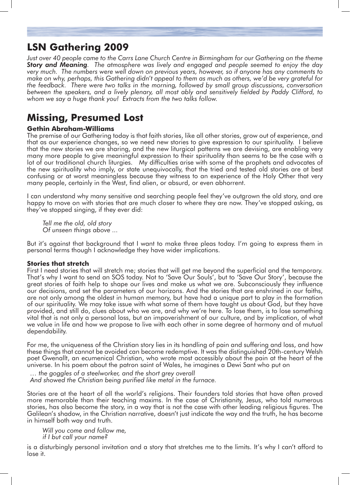## **LSN Gathering 2009**

*Just over 40 people came to the Carrs Lane Church Centre in Birmingham for our Gathering on the theme Story and Meaning. The atmosphere was lively and engaged and people seemed to enjoy the day very much. The numbers were well down on previous years, however, so if anyone has any comments to make on why, perhaps, this Gathering didn't appeal to them as much as others, we'd be very grateful for the feedback. There were two talks in the morning, followed by small group discussions, conversation between the speakers, and a lively plenary, all most ably and sensitively fielded by Paddy Clifford, to whom we say a huge thank you! Extracts from the two talks follow.*

## **Missing, Presumed Lost**

### **Gethin Abraham-Williams**

The premise of our Gathering today is that faith stories, like all other stories, grow out of experience, and that as our experience changes, so we need new stories to give expression to our spirituality. I believe that the new stories we are sharing, and the new liturgical patterns we are devising, are enabling very many more people to give meaningful expression to their spirituality than seems to be the case with a lot of our traditional church liturgies. My difficulties arise with some of the prophets and advocates of the new spirituality who imply, or state unequivocally, that the tried and tested old stories are at best confusing or at worst meaningless because they witness to an experience of the Holy Other that very many people, certainly in the West, find alien, or absurd, or even abhorrent.

I can understand why many sensitive and searching people feel they've outgrown the old story, and are happy to move on with stories that are much closer to where they are now. They've stopped asking, as they've stopped singing, if they ever did:

*Tell me the old, old story Of unseen things above ...*

But it's against that background that I want to make three pleas today. I'm going to express them in personal terms though I acknowledge they have wider implications.

### **Stories that stretch**

First I need stories that will stretch me; stories that will get me beyond the superficial and the temporary. That's why I want to send an SOS today. Not to 'Save Our Souls', but to 'Save Our Story', because the great stories of faith help to shape our lives and make us what we are. Subconsciously they influence our decisions, and set the parameters of our horizons. And the stories that are enshrined in our faiths, are not only among the oldest in human memory, but have had a unique part to play in the formation of our spirituality. We may take issue with what some of them have taught us about God, but they have provided, and still do, clues about who we are, and why we're here. To lose them, is to lose something vital that is not only a personal loss, but an impoverishment of our culture, and by implication, of what we value in life and how we propose to live with each other in some degree of harmony and of mutual dependability.

For me, the uniqueness of the Christian story lies in its handling of pain and suffering and loss, and how these things that cannot be avoided can become redemptive. It was the distinguished 20th-century Welsh poet Gwenallt, an ecumenical Christian, who wrote most accessibly about the pain at the heart of the universe. In his poem about the patron saint of Wales, he imagines a Dewi Sant who put on

*… the goggles of a steelworker, and the short grey overall And showed the Christian being purified like metal in the furnace.*

Stories are at the heart of all the world's religions. Their founders told stories that have often proved more memorable than their teaching maxims. In the case of Christianity, Jesus, who told numerous stories, has also become the story, in a way that is not the case with other leading religious figures. The Galilean's shadow, in the Christian narrative, doesn't just indicate the way and the truth, he has become in himself both way and truth.

*Will you come and follow me, if I but call your name?*

is a disturbingly personal invitation and a story that stretches me to the limits. It's why I can't afford to lose it.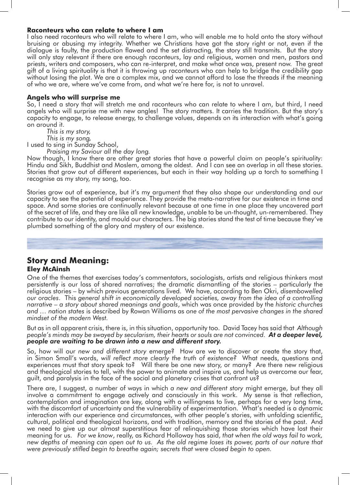#### **Raconteurs who can relate to where I am**

I also need raconteurs who will relate to where I am, who will enable me to hold onto the story without bruising or abusing my integrity. Whether we Christians have got the story right or not, even if the dialogue is faulty, the production flawed and the set distracting, the story still transmits. But the story will only stay relevant if there are enough raconteurs, lay and religious, women and men, pastors and priests, writers and composers, who can re-interpret, and make what once was, present now. The great gift of a living spirituality is that it is throwing up raconteurs who can help to bridge the credibility gap without losing the plot. We are a complex mix, and we cannot afford to lose the threads if the meaning of who we are, where we've come from, and what we're here for, is not to unravel.

### **Angels who will surprise me**

So, I need a story that will stretch me and raconteurs who can relate to where I am, but third, I need angels who will surprise me with new angles! The story matters. It carries the tradition. But the story's capacity to engage, to release energy, to challenge values, depends on its interaction with what's going on around it.

*This is my story,* 

 *This is my song,* 

I used to sing in Sunday School,

*Praising my Saviour all the day long.*

Now though, I know there are other great stories that have a powerful claim on people's spirituality: Hindu and Sikh, Buddhist and Moslem, among the oldest. And I can see an overlap in all these stories. Stories that grow out of different experiences, but each in their way holding up a torch to something I recognise as my story, my song, too.

Stories grow out of experience, but it's my argument that they also shape our understanding and our capacity to see the potential of experience. They provide the meta-narrative for our existence in time and space. And some stories are continually relevant because at one time in one place they uncovered part of the secret of life, and they are like all new knowledge, unable to be un-thought, un-remembered. They contribute to our identity, and mould our characters. The big stories stand the test of time because they've plumbed something of the glory and mystery of our existence.

# **Story and Meaning:**

### **Eley McAinsh**

One of the themes that exercises today's commentators, sociologists, artists and religious thinkers most persistently is our loss of shared narratives; the dramatic dismantling of the stories – particularly the religious stories – by which previous generations lived. We have, according to Ben Okri, *disembowelled our oracles*. This *general shift in economically developed societies, away from the idea of a controlling narrative – a story about shared meanings and goals*, which was once provided by the *historic churches and … nation states* is described by Rowan Williams as *one of the most pervasive changes in the shared mindset of the modern West.* 

But as in all apparent crisis, there is, in this situation, opportunity too. David Tacey has said that *Although people's minds may be swayed by secularism, their hearts or souls are not convinced. At a deeper level, people are waiting to be drawn into a new and different story.* 

So, how will our *new and different story* emerge? How are we to discover or create the story that, in Simon Small's words, *will reflect more clearly the truth of existence?* What needs, questions and experiences must that story speak to? Will there be one new story, or many? Are there new religious and theological stories to tell, with the power to animate and inspire us, and help us overcome our fear, guilt, and paralysis in the face of the social and planetary crises that confront us?

There are, I suggest, a number of ways in which *a new and different story* might emerge, but they all involve a commitment to engage actively and consciously in this work. My sense is that reflection, contemplation and imagination are key, along with a willingness to live, perhaps for a very long time, with the discomfort of uncertainty and the vulnerability of experimentation. What's needed is a dynamic interaction with our experience and circumstances, with other people's stories, with unfolding scientific, cultural, political and theological horizons, and with tradition, memory and the stories of the past. And we need to give up our almost superstitious fear of relinquishing those stories which have lost their meaning for us. *For we know*, really, as Richard Holloway has said, *that when the old ways fail to work, new depths of meaning can open out to us. As the old regime loses its power, parts of our nature that were previously stifled begin to breathe again; secrets that were closed begin to open.*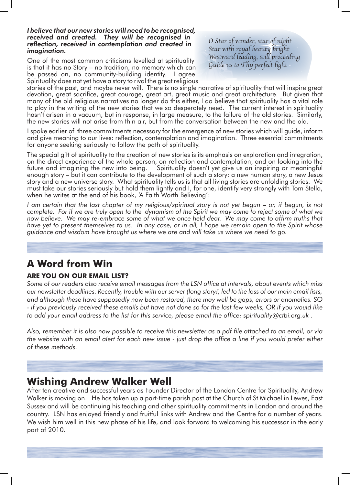#### *I believe that our new stories will need to be recognised, received and created. They will be recognised in reflection, received in contemplation and created in imagination.*

One of the most common criticisms levelled at spirituality is that it has no Story – no tradition, no memory which can be passed on, no community-building identity. I agree. Spirituality does not yet have a story to rival the great religious *O Star of wonder, star of night Star with royal beauty bright Westward leading, still proceeding Guide us to Thy perfect light* 

stories of the past, and maybe never will. There is no single narrative of spirituality that will inspire great devotion, great sacrifice, great courage, great art, great music and great architecture. But given that many of the old religious narratives no longer do this either, I do believe that spirituality has a vital role to play in the writing of the new stories that we so desperately need. The current interest in spirituality hasn't arisen in a vacuum, but in response, in large measure, to the failure of the old stories. Similarly, the new stories will not arise from thin air, but from the conversation between the new and the old.

I spoke earlier of three commitments necessary for the emergence of new stories which will guide, inform and give meaning to our lives: reflection, contemplation and imagination. Three essential commitments for anyone seeking seriously to follow the path of spirituality.

The special gift of spirituality to the creation of new stories is its emphasis on exploration and integration, on the direct experience of the whole person, on reflection and contemplation, and on looking into the future and imagining the new into being. Spirituality doesn't yet give us an inspiring or meaningful future and imagining the new into being. Spirituality doesn't yet give us an inspiring or meaningful enough story – but it can contribute to the development of such a story: a new human story, a new Jesus story and a new universe story. What spirituality tells us is that all living stories are unfolding stories. We must take our stories seriously but hold them lightly and I, for one, identify very strongly with Tom Stella, when he writes at the end of his book, 'A Faith Worth Believing':

*I* am certain that the last chapter of my religious/spiritual story is not yet begun – or, if begun, is not *complete. For if we are truly open to the dynamism of the Spirit we may come to reject some of what we now believe. We may re-embrace some of what we once held dear. We may come to affirm truths that have yet to present themselves to us. In any case, or in all, I hope we remain open to the Spirit whose guidance and wisdom have brought us where we are and will take us where we need to go.*

# **A Word from Win**

### **ARE YOU ON OUR EMAIL LIST?**

*Some of our readers also receive email messages from the LSN office at intervals, about events which miss our newsletter deadlines. Recently, trouble with our server (long story!) led to the loss of our main email lists, and although these have supposedly now been restored, there may well be gaps, errors or anomalies. SO - if you previously received these emails but have not done so for the last few weeks, OR if you would like to add your email address to the list for this service, please email the office: spirituality@ctbi.org.uk .*

*Also, remember it is also now possible to receive this newsletter as a pdf file attached to an email, or via the website with an email alert for each new issue - just drop the office a line if you would prefer either of these methods.* 

## **Wishing Andrew Walker Well**

After ten creative and successful years as Founder Director of the London Centre for Spirituality, Andrew Walker is moving on. He has taken up a part-time parish post at the Church of St Michael in Lewes, East Sussex and will be continuing his teaching and other spirituality commitments in London and around the country. LSN has enjoyed friendly and fruitful links with Andrew and the Centre for a number of years. We wish him well in this new phase of his life, and look forward to welcoming his successor in the early part of 2010.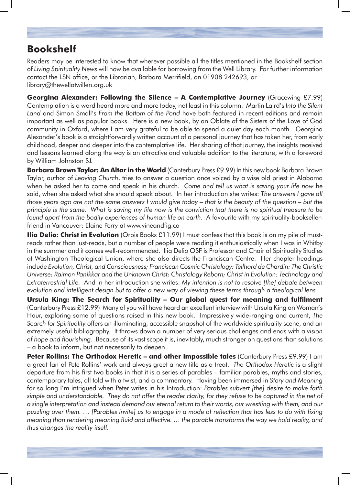# **Bookshelf**

Readers may be interested to know that wherever possible all the titles mentioned in the Bookshelf section of *Living Spirituality News* will now be available for borrowing from the Well Library. For further information contact the LSN office, or the Librarian, Barbara Merrifield, on 01908 242693, or library@thewellatwillen.org.uk

**Georgina Alexander: Following the Silence – A Contemplative Journey** (Gracewing £7.99) Contemplation is a word heard more and more today, not least in this column. Martin Laird's *Into the Silent Land* and Simon Small's *From the Bottom of the Pond* have both featured in recent editions and remain important as well as popular books. Here is a new book, by an Oblate of the Sisters of the Love of God community in Oxford, where I am very grateful to be able to spend a quiet day each month. Georgina Alexander's book is a straightforwardly written account of a personal journey that has taken her, from early childhood, deeper and deeper into the contemplative life. Her sharing of that journey, the insights received and lessons learned along the way is an attractive and valuable addition to the literature, with a foreword by William Johnston SJ.

**Barbara Brown Taylor: An Altar in the World** (Canterbury Press £9.99) In this new book Barbara Brown Taylor, author of *Leaving Church*, tries to answer a question once voiced by a wise old priest in Alabama when he asked her to come and speak in his church. *Come and tell us what is saving your life now* he said, when she asked what she should speak about. In her introduction she writes: *The answers I gave all those years ago are not the same answers I would give today – that is the beauty of the question – but the principle is the same. What is saving my life now is the conviction that there is no spiritual treasure to be found apart from the bodily experiences of human life on earth.* A favourite with my spirituality-booksellerfriend in Vancouver: Elaine Perry at www.vineandfig.ca

**Ilia Delio: Christ in Evolution** (Orbis Books £11.99) I must confess that this book is on my pile of mustreads rather than just-reads, but a number of people were reading it enthusiastically when I was in Whitby in the summer and it comes well-recommended. Ilia Delio OSF is Professor and Chair of Spirituality Studies at Washington Theological Union, where she also directs the Franciscan Centre. Her chapter headings include *Evolution, Christ, and Consciousness; Franciscan Cosmic Christology; Teilhard de Chardin: The Christic Universe; Raimon Panikkar and the Unknown Christ; Christology Reborn; Christ in Evolution: Technology and Extraterrestrial Life.* And in her introduction she writes: *My intention is not to resolve [the] debate between evolution and intelligent design but to offer a new way of viewing these terms through a theological lens.*

**Ursula King: The Search for Spirituality – Our global quest for meaning and fulfilment** (Canterbury Press £12.99) Many of you will have heard an excellent interview with Ursula King on Woman's Hour, exploring some of questions raised in this new book. Impressively wide-ranging and current, *The Search for Spirituality* offers an illuminating, accessible snapshot of the worldwide spirituality scene, and an extremely useful bibliography. It throws down a number of very serious challenges and ends with a *vision of hope and flourishing*. Because of its vast scope it is, inevitably, much stronger on questions than solutions – a book to inform, but not necessarily to deepen.

**Peter Rollins: The Orthodox Heretic – and other impossible tales** (Canterbury Press £9.99) I am a great fan of Pete Rollins' work and always greet a new title as a treat. *The Orthodox Heretic* is a slight departure from his first two books in that it is a series of parables – familiar parables, myths and stories, contemporary tales, all told with a twist, and a commentary. Having been immersed in *Story and Meaning* for so long I'm intrigued when Peter writes in his Introduction: *Parables subvert [the] desire to make faith simple and understandable. They do not offer the reader clarity, for they refuse to be captured in the net of a single interpretation and instead demand our eternal return to their words, our wrestling with them, and our puzzling over them. … [Parables invite] us to engage in a mode of reflection that has less to do with fixing meaning than rendering meaning fluid and affective. … the parable transforms the way we hold reality, and thus changes the reality itself.*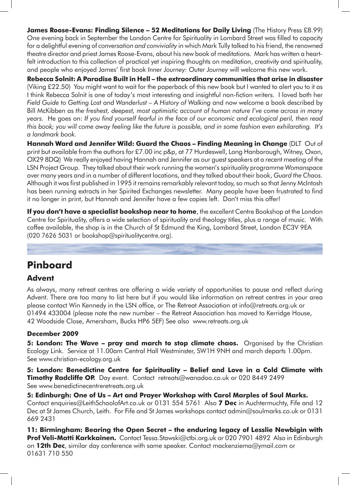**James Roose-Evans: Finding Silence – 52 Meditations for Daily Living** (The History Press £8.99) One evening back in September the London Centre for Spirituality in Lombard Street was filled to capacity for a delightful evening of *conversation and conviviality* in which Mark Tully talked to his friend, the renowned theatre director and priest James Roose-Evans, about his new book of meditations. Mark has written a heartfelt introduction to this collection of practical yet inspiring thoughts on meditation, creativity and spirituality, and people who enjoyed James' first book *Inner Journey: Outer Journey* will welcome this new work.

**Rebecca Solnit: A Paradise Built in Hell – the extraordinary communities that arise in disaster** (Viking £22.50) You might want to wait for the paperback of this new book but I wanted to alert you to it as I think Rebecca Solnit is one of today's most interesting and insightful non-fiction writers. I loved both her *Field Guide to Getting Lost* and *Wanderlust – A History of Walking* and now welcome a book described by Bill McKibben as *the freshest, deepest, most optimistic account of human nature I've come across in many years.* He goes on: *If you find yourself fearful in the face of our economic and ecological peril, then read this book; you will come away feeling like the future is possible, and in some fashion even exhilarating. It's a landmark book.*

**Hannah Ward and Jennifer Wild: Guard the Chaos – Finding Meaning in Change** (DLT Out of print but available from the authors for £7.00 inc p&p, at 77 Hurdeswell, Long Hanborough, Witney, Oxon, OX29 8DQ) We really enjoyed having Hannah and Jennifer as our guest speakers at a recent meeting of the LSN Project Group. They talked about their work running the women's spirituality programme *Womanspace*  over many years and in a number of different locations, and they talked about their book, *Guard the Chaos*. Although it was first published in 1995 it remains remarkably relevant today, so much so that Jenny McIntosh has been running extracts in her Spirited Exchanges newsletter. Many people have been frustrated to find it no longer in print, but Hannah and Jennifer have a few copies left. Don't miss this offer!

**If you don't have a specialist bookshop near to home**, the excellent Centre Bookshop at the London Centre for Spirituality, offers a wide selection of spirituality and theology titles, plus a range of music. With coffee available, the shop is in the Church of St Edmund the King, Lombard Street, London EC3V 9EA (020 7626 5031 or bookshop@spiritualitycentre.org).

## **Pinboard**

### **Advent**

As always, many retreat centres are offering a wide variety of opportunities to pause and reflect during Advent. There are too many to list here but if you would like information on retreat centres in your area please contact Win Kennedy in the LSN office, or The Retreat Association at info@retreats.org.uk or 01494 433004 (please note the new number – the Retreat Association has moved to Kerridge House, 42 Woodside Close, Amersham, Bucks HP6 5EF) See also www.retreats.org.uk

### **December 2009**

**5: London: The Wave – pray and march to stop climate chaos.** Organised by the Christian Ecology Link. Service at 11.00am Central Hall Westminster, SW1H 9NH and march departs 1.00pm. See www.christian-ecology.org.uk

**5: London: Benedictine Centre for Spirituality – Belief and Love in a Cold Climate with Timothy Radcliffe OP.** Day event. Contact retreats@wanadoo.co.uk or 020 8449 2499 See www.benedictinecentreretreats.org.uk

**5: Edinburgh: One of Us – Art and Prayer Workshop with Carol Marples of Soul Marks.** Contact enquiries@LeithSchoolofArt.co.uk or 0131 554 5761 Also **7 Dec** in Auchtermuchty, Fife and 12 Dec at St James Church, Leith. For Fife and St James workshops contact admin@soulmarks.co.uk or 0131 669 2431

**11: Birmingham: Bearing the Open Secret – the enduring legacy of Lesslie Newbigin with Prof Veli-Matti Karkkainen.** Contact Tessa.Stawski@ctbi.org.uk or 020 7901 4892 Also in Edinburgh on **12th Dec**, similar day conference with same speaker. Contact mackenziema@ymail.com or 01631 710 550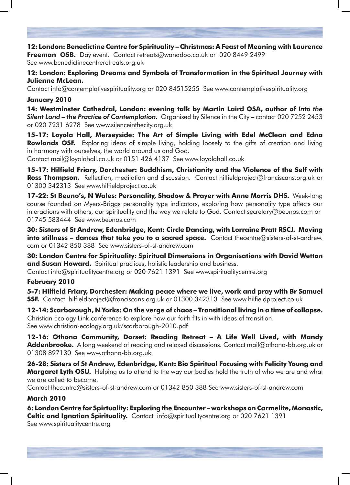**12: London: Benedictine Centre for Spirituality – Christmas: A Feast of Meaning with Laurence Freeman OSB.** Day event. Contact retreats@wanadoo.co.uk or 020 8449 2499 See www.benedictinecentreretreats.org.uk

### **12: London: Exploring Dreams and Symbols of Transformation in the Spiritual Journey with Julienne McLean.**

Contact info@contemplativespirituality.org or 020 84515255 See www.contemplativespirituality.org

### **January 2010**

**14: Westminster Cathedral, London: evening talk by Martin Laird OSA, author of** *Into the Silent Land – the Practice of Contemplation.* Organised by Silence in the City – contact 020 7252 2453 or 020 7231 6278 See www.silenceinthecity.org.uk

**15-17: Loyola Hall, Merseyside: The Art of Simple Living with Edel McClean and Edna Rowlands OSF.** Exploring ideas of simple living, holding loosely to the gifts of creation and living in harmony with ourselves, the world around us and God.

Contact mail@loyolahall.co.uk or 0151 426 4137 See www.loyolahall.co.uk

**15-17: Hilfield Friary, Dorchester: Buddhism, Christianity and the Violence of the Self with Ross Thompson.** Reflection, meditation and discussion. Contact hilfieldproject@franciscans.org.uk or 01300 342313 See www.hilfieldproject.co.uk

**17-22: St Beuno's, N Wales: Personality, Shadow & Prayer with Anne Morris DHS.** Week-long course founded on Myers-Briggs personality type indicators, exploring how personality type affects our interactions with others, our spirituality and the way we relate to God. Contact secretary@beunos.com or 01745 583444 See www.beunos.com

**30: Sisters of St Andrew, Edenbridge, Kent: Circle Dancing, with Lorraine Pratt RSCJ. Moving into stillness – dances that take you to a sacred space.** Contact thecentre@sisters-of-st-andrew. com or 01342 850 388 See www.sisters-of-st-andrew.com

**30: London Centre for Spirituality: Spiritual Dimensions in Organisations with David Wetton and Susan Howard.** Spiritual practices, holistic leadership and business.

Contact info@spiritualitycentre.org or 020 7621 1391 See www.spiritualitycentre.org

### **February 2010**

**5-7: Hilfield Friary, Dorchester: Making peace where we live, work and pray with Br Samuel SSF.** Contact hilfieldproject@franciscans.org.uk or 01300 342313 See www.hilfieldproject.co.uk

**12-14: Scarborough, N Yorks: On the verge of chaos – Transitional living in a time of collapse.** Christian Ecology Link conference to explore how our faith fits in with ideas of transition. See www.christian-ecology.org.uk/scarborough-2010.pdf

**12-16: Othona Community, Dorset: Reading Retreat – A Life Well Lived, with Mandy Addenbrooke.** A long weekend of reading and relaxed discussions. Contact mail@othona-bb.org.uk or 01308 897130 See www.othona-bb.org.uk

**26-28: Sisters of St Andrew, Edenbridge, Kent: Bio Spiritual Focusing with Felicity Young and Margaret Lyth OSU.** Helping us to attend to the way our bodies hold the truth of who we are and what we are called to become.

Contact thecentre@sisters-of-st-andrew.com or 01342 850 388 See www.sisters-of-st-andrew.com

### **March 2010**

**6: London Centre for Spirtuality: Exploring the Encounter – workshops on Carmelite, Monastic, Celtic and Ignatian Spirituality.** Contact info@spiritualitycentre.org or 020 7621 1391

See www.spiritualitycentre.org